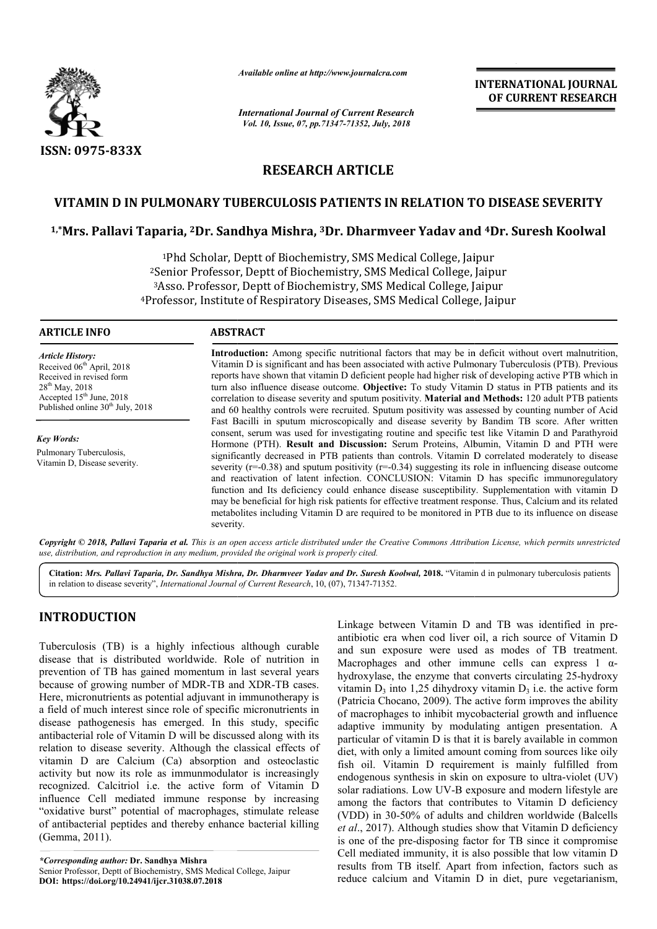

*Available online at http://www.journalcra.com*

*International Journal of Current Research Vol. 10, Issue, 07, pp.71347-71352, July, 2018*

**INTERNATIONAL JOURNAL OF CURRENT RESEARCH**

# **RESEARCH ARTICLE**

# **VITAMIN D IN PULMONARY TUBERCULOSIS PATIENTS IN RELATION TO DISEASE SEVERITY**

# **1,\*Mrs. Pallavi Taparia, 2Dr. Sandhya Mishra, Dr. 3Dr. Dharmveer Yadav and Dr. Dharmveer Yadav 4Dr. Suresh Koolwal**

<sup>1</sup>Phd Scholar, Deptt of Biochemistry, SMS Medical College, Jaipur 2Senior Professor Senior Professor, Deptt of Biochemistry, SMS Medical College, Jaipur <sup>3</sup>Asso. Professor, Deptt of Biochemistry, SMS Medical College, Jaipur <sup>4</sup>Professor, Institute of Respiratory Diseases, SMS Medical College, Jaipur ry, SMS Medical Coll<br>istry, SMS Medical Co<br>stry, SMS Medical Co<br>seases, SMS Medical

## **ARTICLE INFO ABSTRACT**

*Article History:* Received 06<sup>th</sup> April, 2018 Received in revised form 28th May, 2018 Accepted  $15<sup>th</sup>$  June, 2018 Published online  $30<sup>th</sup>$  July, 2018

*Key Words:* Pulmonary Tuberculosis, Vitamin D, Disease severity.

**Introduction:** Among specific nutritional factors that may be in deficit without overt malnutrition, Introduction: Among specific nutritional factors that may be in deficit without overt malnutrition, Vitamin D is significant and has been associated with active Pulmonary Tuberculosis (PTB). Previous reports have shown that vitamin D deficient people had higher risk of developing active PTB which in reports have shown that vitamin D deficient people had higher risk of developing active PTB which in turn also influence disease outcome. **Objective:** To study Vitamin D status in PTB patients and its correlation to disease severity and sputum positivity. Material and Methods: 120 adult PTB patients and 60 healthy controls were recruited. Sputum positivity was assessed by counting number of Acid Fast Ba Bacilli in sputum microscopically and disease severity by Bandim TB score. After written consent, serum was used for investigating routine and specific test like Vitamin D and Parathyroid and 60 healthy controls were recruited. Sputum positivity was assessed by counting number of Acid<br>Fast Bacilli in sputum microscopically and disease severity by Bandim TB score. After written<br>consent, serum was used for in significantly decreased in PTB patients than controls. Vitamin D correlated moderately to disease severity  $(r=0.38)$  and sputum positivity  $(r=-0.34)$  suggesting its role in influencing disease outcome and reactivation of latent infection. CONCLUSION: Vitamin D has specific immunoregulatory function and Its deficiency could enhance disease susceptibility. Supplementation with vitamin D may be beneficial for high risk patients for effective treatment response. Thus, Calcium and its related metabolites including Vitamin D are required to be monitored in PTB due to its influence on disease severity. significantly decreased in PTB patients than controls. Vitamin D correlated moderately to disease severity  $(r=-0.38)$  and sputum positivity  $(r=-0.34)$  suggesting its role in influencing disease outcome and reactivation of l

Copyright © 2018, Pallavi Taparia et al. This is an open access article distributed under the Creative Commons Attribution License, which permits unrestrictea *use, distribution, and reproduction in any medium, provided the original work is properly cited.*

Citation: Mrs. Pallavi Taparia, Dr. Sandhya Mishra, Dr. Dharmveer Yadav and Dr. Suresh Koolwal, 2018. "Vitamin d in pulmonary tuberculosis patients in relation to disease severity", *International Journal of Current Research* , 10, (07), 71347-71352.

# **INTRODUCTION**

Tuberculosis (TB) is a highly infectious although curable disease that is distributed worldwide. Role of nutrition in prevention of TB has gained momentum in last several years because of growing number of MDR-TB and XDR-TB cases. Here, micronutrients as potential adjuvant in immunotherapy is a field of much interest since role of specific micronutrients in disease pathogenesis has emerged. In this study, specific antibacterial role of Vitamin D will be discussed along with its relation to disease severity. Although the classical effects of vitamin D are Calcium (Ca) absorption and osteoclastic activity but now its role as immunmodulator is increasingly recognized. Calcitriol i.e. the active form of Vitamin D influence Cell mediated immune response by increasing "oxidative burst" potential of macrophages, stimulate release of antibacterial peptides and thereby enhance bacterial killing (Gemma, 2011).

*\*Corresponding author:* **Dr. Sandhya Mishra** Senior Professor, Deptt of Biochemistry, SMS Medical College, Jaipur **DOI: https://doi.org/10.24941/ijcr.31038.07.2018**

Extrain to the state of the multion of TB was identified in pre-<br>
and its a highly infectious although curable and sum exposure were used as modes of TH tramin in<br>
this distributed worldwide. Role of nutrition in<br>
and sum antibiotic era when cod liver oil, a rich source of Vitamin D and sun exposure were used as modes of TB treatment. Macrophages and other immune cells can express  $1 \alpha$ hydroxylase, the enzyme that converts circulating 25-hydroxy vitamin  $D_3$  into 1,25 dihydroxy vitamin  $D_3$  i.e. the active form (Patricia Chocano, 2009). The active form improves the ability (Patricia Chocano, 2009). The active form improves the ability of macrophages to inhibit mycobacterial growth and influence adaptive immunity by modulating antigen presentation. A particular of vitamin D is that it is barely available in common diet, with only a limited amount coming from sources like oily fish oil. Vitamin D requirement is mainly fulfilled from endogenous synthesis in skin on exposure to ultra-violet (UV) solar radiations. Low UV-B exposure and modern lifestyle are among the factors that contributes to Vitamin D deficiency (VDD) in 30-50% of adults and children worldwide ( *et al*., 2017). Although studies show that Vitamin D deficiency is one of the pre-disposing factor for TB since it compromise Cell mediated immunity, it is also possible that low vitamin D results from TB itself. Apart from infection, factors such as reduce calcium and Vitamin D in diet, pure vegetarianism, Linkage between Vitamin D and TB was identified in preliver oil, a rich source of Vitamin D<br>e used as modes of TB treatment.<br>r immune cells can express 1  $\alpha$ cular of vitamin D is that it is barely available in common<br>with only a limited amount coming from sources like oily<br>oil. Vitamin D requirement is mainly fulfilled from<br>genous synthesis in skin on exposure to ultra-violet Is. Low UV-B exposure and modern lifestyle are<br>ctors that contributes to Vitamin D deficiency<br>50% of adults and children worldwide (Balcells **EXERCT TONAL FORMATION AL FORMATION AL FORMATION AL FORMATION CONTRIBUTER (2.2018)**<br> **EXERCT TO ALTER SINCE SINCE SEVERITY**<br> **EXERCT TO ALTER SINCE SEVERITY**<br> **CONTRIBUTER (2.2018**<br> **EXERCT TO ALTER SINCE SEVERITY**<br> **EXER**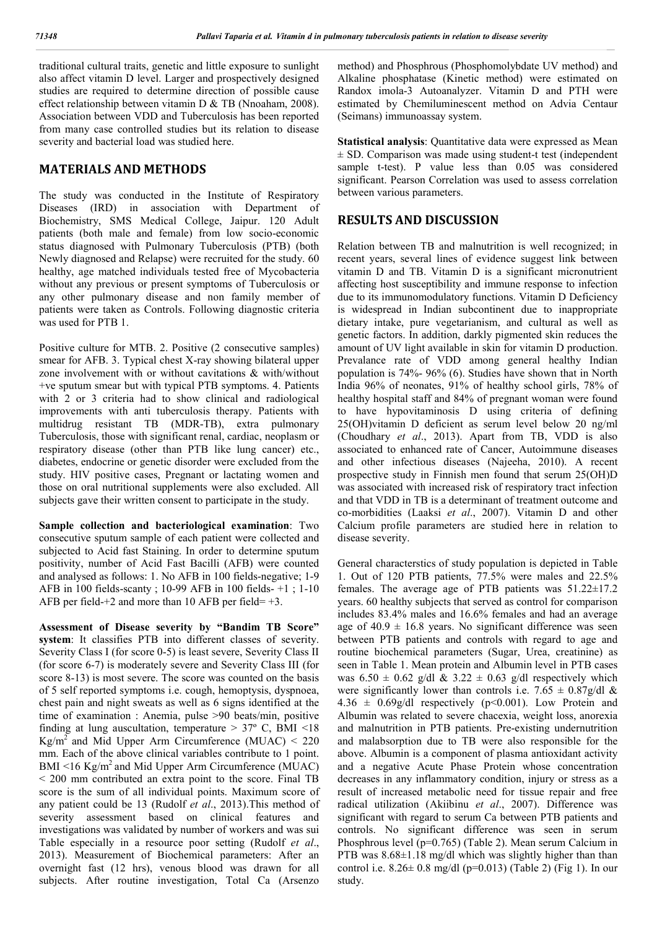traditional cultural traits, genetic and little exposure to sunlight also affect vitamin D level. Larger and prospectively designed studies are required to determine direction of possible cause effect relationship between vitamin D & TB (Nnoaham, 2008). Association between VDD and Tuberculosis has been reported from many case controlled studies but its relation to disease severity and bacterial load was studied here.

# **MATERIALS AND METHODS**

The study was conducted in the Institute of Respiratory Diseases (IRD) in association with Department of Biochemistry, SMS Medical College, Jaipur. 120 Adult patients (both male and female) from low socio-economic status diagnosed with Pulmonary Tuberculosis (PTB) (both Newly diagnosed and Relapse) were recruited for the study. 60 healthy, age matched individuals tested free of Mycobacteria without any previous or present symptoms of Tuberculosis or any other pulmonary disease and non family member of patients were taken as Controls. Following diagnostic criteria was used for PTB 1.

Positive culture for MTB. 2. Positive (2 consecutive samples) smear for AFB. 3. Typical chest X-ray showing bilateral upper zone involvement with or without cavitations & with/without +ve sputum smear but with typical PTB symptoms. 4. Patients with 2 or 3 criteria had to show clinical and radiological improvements with anti tuberculosis therapy. Patients with multidrug resistant TB (MDR-TB), extra pulmonary Tuberculosis, those with significant renal, cardiac, neoplasm or respiratory disease (other than PTB like lung cancer) etc., diabetes, endocrine or genetic disorder were excluded from the study. HIV positive cases, Pregnant or lactating women and those on oral nutritional supplements were also excluded. All subjects gave their written consent to participate in the study.

**Sample collection and bacteriological examination**: Two consecutive sputum sample of each patient were collected and subjected to Acid fast Staining. In order to determine sputum positivity, number of Acid Fast Bacilli (AFB) were counted and analysed as follows: 1. No AFB in 100 fields-negative; 1-9 AFB in 100 fields-scanty ; 10-99 AFB in 100 fields- +1 ; 1-10 AFB per field $+2$  and more than 10 AFB per field $= +3$ .

**Assessment of Disease severity by "Bandim TB Score" system**: It classifies PTB into different classes of severity. Severity Class I (for score 0-5) is least severe, Severity Class II (for score 6-7) is moderately severe and Severity Class III (for score 8-13) is most severe. The score was counted on the basis of 5 self reported symptoms i.e. cough, hemoptysis, dyspnoea, chest pain and night sweats as well as 6 signs identified at the time of examination : Anemia, pulse >90 beats/min, positive finding at lung auscultation, temperature  $> 37^{\circ}$  C, BMI <18 Kg/m<sup>2</sup> and Mid Upper Arm Circumference (MUAC) <  $220$ mm. Each of the above clinical variables contribute to 1 point.  $BMI \leq 16$  Kg/m<sup>2</sup> and Mid Upper Arm Circumference (MUAC) < 200 mm contributed an extra point to the score. Final TB score is the sum of all individual points. Maximum score of any patient could be 13 (Rudolf *et al*., 2013).This method of severity assessment based on clinical features and investigations was validated by number of workers and was sui Table especially in a resource poor setting (Rudolf *et al*., 2013). Measurement of Biochemical parameters: After an overnight fast (12 hrs), venous blood was drawn for all subjects. After routine investigation, Total Ca (Arsenzo

method) and Phosphrous (Phosphomolybdate UV method) and Alkaline phosphatase (Kinetic method) were estimated on Randox imola-3 Autoanalyzer. Vitamin D and PTH were estimated by Chemiluminescent method on Advia Centaur (Seimans) immunoassay system.

**Statistical analysis**: Quantitative data were expressed as Mean  $\pm$  SD. Comparison was made using student-t test (independent) sample t-test). P value less than 0.05 was considered significant. Pearson Correlation was used to assess correlation between various parameters.

## **RESULTS AND DISCUSSION**

Relation between TB and malnutrition is well recognized; in recent years, several lines of evidence suggest link between vitamin D and TB. Vitamin D is a significant micronutrient affecting host susceptibility and immune response to infection due to its immunomodulatory functions. Vitamin D Deficiency is widespread in Indian subcontinent due to inappropriate dietary intake, pure vegetarianism, and cultural as well as genetic factors. In addition, darkly pigmented skin reduces the amount of UV light available in skin for vitamin D production. Prevalance rate of VDD among general healthy Indian population is 74%- 96% (6). Studies have shown that in North India 96% of neonates, 91% of healthy school girls, 78% of healthy hospital staff and 84% of pregnant woman were found to have hypovitaminosis D using criteria of defining 25(OH)vitamin D deficient as serum level below 20 ng/ml (Choudhary *et al*., 2013). Apart from TB, VDD is also associated to enhanced rate of Cancer, Autoimmune diseases and other infectious diseases (Najeeha, 2010). A recent prospective study in Finnish men found that serum 25(OH)D was associated with increased risk of respiratory tract infection and that VDD in TB is a determinant of treatment outcome and co-morbidities (Laaksi *et al*., 2007). Vitamin D and other Calcium profile parameters are studied here in relation to disease severity.

General characterstics of study population is depicted in Table 1. Out of 120 PTB patients, 77.5% were males and 22.5% females. The average age of PTB patients was 51.22±17.2 years. 60 healthy subjects that served as control for comparison includes 83.4% males and 16.6% females and had an average age of  $40.9 \pm 16.8$  years. No significant difference was seen between PTB patients and controls with regard to age and routine biochemical parameters (Sugar, Urea, creatinine) as seen in Table 1. Mean protein and Albumin level in PTB cases was  $6.50 \pm 0.62$  g/dl &  $3.22 \pm 0.63$  g/dl respectively which were significantly lower than controls i.e.  $7.65 \pm 0.87$  g/dl &  $4.36 \pm 0.69$  g/dl respectively (p<0.001). Low Protein and Albumin was related to severe chacexia, weight loss, anorexia and malnutrition in PTB patients. Pre-existing undernutrition and malabsorption due to TB were also responsible for the above. Albumin is a component of plasma antioxidant activity and a negative Acute Phase Protein whose concentration decreases in any inflammatory condition, injury or stress as a result of increased metabolic need for tissue repair and free radical utilization (Akiibinu *et al*., 2007). Difference was significant with regard to serum Ca between PTB patients and controls. No significant difference was seen in serum Phosphrous level (p=0.765) (Table 2). Mean serum Calcium in PTB was 8.68±1.18 mg/dl which was slightly higher than than control i.e. 8.26± 0.8 mg/dl (p=0.013) (Table 2) (Fig 1). In our study.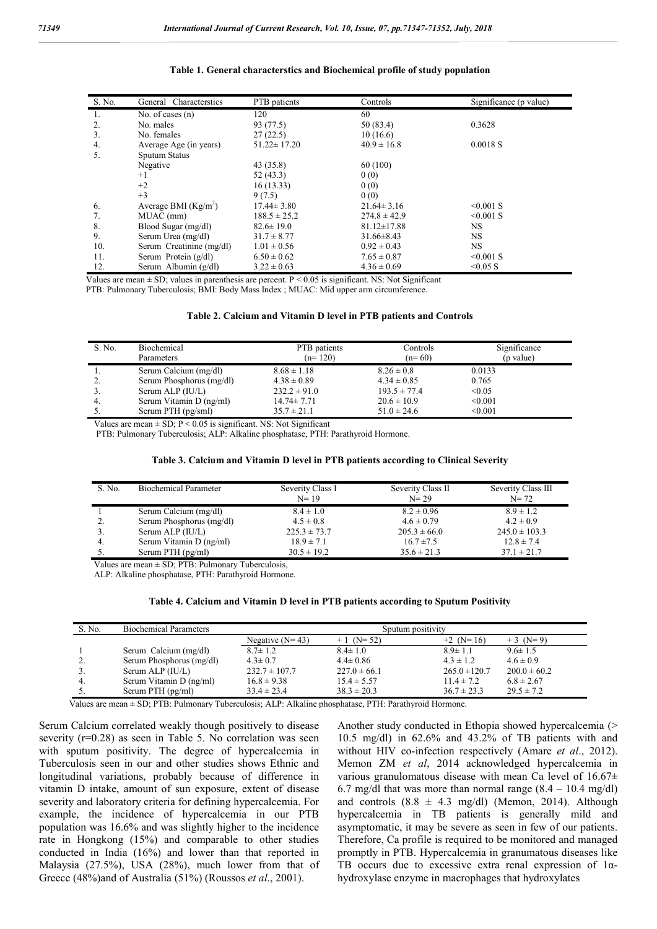| S. No. | General Characterstics   | PTB patients      | Controls          | Significance (p value) |
|--------|--------------------------|-------------------|-------------------|------------------------|
| 1.     | No. of cases $(n)$       | 120               | 60                |                        |
| 2.     | No. males                | 93 (77.5)         | 50 (83.4)         | 0.3628                 |
| 3.     | No. females              | 27(22.5)          | 10(16.6)          |                        |
| 4.     | Average Age (in years)   | $51.22 \pm 17.20$ | $40.9 \pm 16.8$   | 0.0018 S               |
| 5.     | Sputum Status            |                   |                   |                        |
|        | Negative                 | 43 (35.8)         | 60 (100)          |                        |
|        | $+1$                     | 52(43.3)          | 0(0)              |                        |
|        | $+2$                     | 16(13.33)         | 0(0)              |                        |
|        | $+3$                     | 9(7.5)            | 0(0)              |                        |
| 6.     | Average BMI $(Kg/m2)$    | $17.44 \pm 3.80$  | $21.64 \pm 3.16$  | $< 0.001$ S            |
| 7.     | MUAC (mm)                | $188.5 \pm 25.2$  | $274.8 \pm 42.9$  | $< 0.001$ S            |
| 8.     | Blood Sugar (mg/dl)      | $82.6 \pm 19.0$   | $81.12 \pm 17.88$ | <b>NS</b>              |
| 9.     | Serum Urea (mg/dl)       | $31.7 \pm 8.77$   | $31.66 \pm 8.43$  | <b>NS</b>              |
| 10.    | Serum Creatinine (mg/dl) | $1.01 \pm 0.56$   | $0.92 \pm 0.43$   | <b>NS</b>              |
| 11.    | Serum Protein $(g/dl)$   | $6.50 \pm 0.62$   | $7.65 \pm 0.87$   | $< 0.001$ S            |
| 12.    | Serum Albumin (g/dl)     | $3.22 \pm 0.63$   | $4.36 \pm 0.69$   | $< 0.05$ S             |

#### **Table 1. General characterstics and Biochemical profile of study population**

Values are mean  $\pm$  SD; values in parenthesis are percent.  $P < 0.05$  is significant. NS: Not Significant

PTB: Pulmonary Tuberculosis; BMI: Body Mass Index ; MUAC: Mid upper arm circumference.

#### **Table 2. Calcium and Vitamin D level in PTB patients and Controls**

| S. No. | Biochemical              | PTB patients     | Controls         | Significance |
|--------|--------------------------|------------------|------------------|--------------|
|        | Parameters               | $(n=120)$        | $(n=60)$         | (p value)    |
|        | Serum Calcium (mg/dl)    | $8.68 \pm 1.18$  | $8.26 \pm 0.8$   | 0.0133       |
| 2.     | Serum Phosphorus (mg/dl) | $4.38 \pm 0.89$  | $4.34 \pm 0.85$  | 0.765        |
|        | Serum ALP (IU/L)         | $232.2 \pm 91.0$ | $193.5 \pm 77.4$ | < 0.05       |
| 4.     | Serum Vitamin D (ng/ml)  | $14.74 \pm 7.71$ | $20.6 \pm 10.9$  | < 0.001      |
|        | Serum PTH (pg/sml)       | $35.7 \pm 21.1$  | $51.0 \pm 24.6$  | < 0.001      |

Values are mean  $\pm$  SD; P < 0.05 is significant. NS: Not Significant

PTB: Pulmonary Tuberculosis; ALP: Alkaline phosphatase, PTH: Parathyroid Hormone.

| Table 3. Calcium and Vitamin D level in PTB patients according to Clinical Severity |  |  |  |
|-------------------------------------------------------------------------------------|--|--|--|
|-------------------------------------------------------------------------------------|--|--|--|

| S. No.           | <b>Biochemical Parameter</b>                           | Severity Class I<br>$N = 19$ | Severity Class II<br>$N = 29$ | Severity Class III<br>$N = 72$ |
|------------------|--------------------------------------------------------|------------------------------|-------------------------------|--------------------------------|
|                  | Serum Calcium (mg/dl)                                  | $8.4 \pm 1.0$                | $8.2 \pm 0.96$                | $8.9 \pm 1.2$                  |
|                  | Serum Phosphorus (mg/dl)                               | $4.5 \pm 0.8$                | $4.6 \pm 0.79$                | $4.2 \pm 0.9$                  |
|                  | Serum ALP (IU/L)                                       | $225.3 \pm 73.7$             | $205.3 \pm 66.0$              | $245.0 \pm 103.3$              |
| $\overline{4}$ . | Serum Vitamin D (ng/ml)                                | $18.9 \pm 7.1$               | $16.7 \pm 7.5$                | $12.8 \pm 7.4$                 |
|                  | Serum PTH (pg/ml)                                      | $30.5 \pm 19.2$              | $35.6 \pm 21.3$               | $37.1 \pm 21.7$                |
|                  | Values are mean $\pm$ SD; PTB: Pulmonary Tuberculosis, |                              |                               |                                |

ALP: Alkaline phosphatase, PTH: Parathyroid Hormone.

### **Table 4. Calcium and Vitamin D level in PTB patients according to Sputum Positivity**

| S. No. | <b>Biochemical Parameters</b> | Sputum positivity |                  |                   |                  |
|--------|-------------------------------|-------------------|------------------|-------------------|------------------|
|        |                               | Negative $(N=43)$ | $+1$ (N= 52)     | $+2$ (N= 16)      | $+3$ (N=9)       |
|        | Serum Calcium (mg/dl)         | $8.7 \pm 1.2$     | $8.4 \pm 1.0$    | $8.9 \pm 1.1$     | $9.6 \pm 1.5$    |
|        | Serum Phosphorus (mg/dl)      | $4.3 \pm 0.7$     | $4.4 \pm 0.86$   | $4.3 \pm 1.2$     | $4.6 \pm 0.9$    |
|        | Serum ALP (IU/L)              | $232.7 \pm 107.7$ | $227.0 \pm 66.1$ | $265.0 \pm 120.7$ | $200.0 \pm 60.2$ |
|        | Serum Vitamin D (ng/ml)       | $16.8 \pm 9.38$   | $15.4 \pm 5.57$  | $11.4 \pm 7.2$    | $6.8 \pm 2.67$   |
|        | Serum PTH (pg/ml)             | $33.4 \pm 23.4$   | $38.3 \pm 20.3$  | $36.7 \pm 23.3$   | $29.5 \pm 7.2$   |

Values are mean ± SD; PTB: Pulmonary Tuberculosis; ALP: Alkaline phosphatase, PTH: Parathyroid Hormone.

Serum Calcium correlated weakly though positively to disease severity (r=0.28) as seen in Table 5. No correlation was seen with sputum positivity. The degree of hypercalcemia in Tuberculosis seen in our and other studies shows Ethnic and longitudinal variations, probably because of difference in vitamin D intake, amount of sun exposure, extent of disease severity and laboratory criteria for defining hypercalcemia. For example, the incidence of hypercalcemia in our PTB population was 16.6% and was slightly higher to the incidence rate in Hongkong (15%) and comparable to other studies conducted in India (16%) and lower than that reported in Malaysia (27.5%), USA (28%), much lower from that of Greece (48%)and of Australia (51%) (Roussos *et al*., 2001).

Another study conducted in Ethopia showed hypercalcemia (> 10.5 mg/dl) in 62.6% and 43.2% of TB patients with and without HIV co-infection respectively (Amare *et al*., 2012). Memon ZM *et al*, 2014 acknowledged hypercalcemia in various granulomatous disease with mean Ca level of  $16.67\pm$ 6.7 mg/dl that was more than normal range  $(8.4 - 10.4 \text{ mg/dl})$ and controls  $(8.8 \pm 4.3 \text{ mg/dl})$  (Memon, 2014). Although hypercalcemia in TB patients is generally mild and asymptomatic, it may be severe as seen in few of our patients. Therefore, Ca profile is required to be monitored and managed promptly in PTB. Hypercalcemia in granumatous diseases like TB occurs due to excessive extra renal expression of 1αhydroxylase enzyme in macrophages that hydroxylates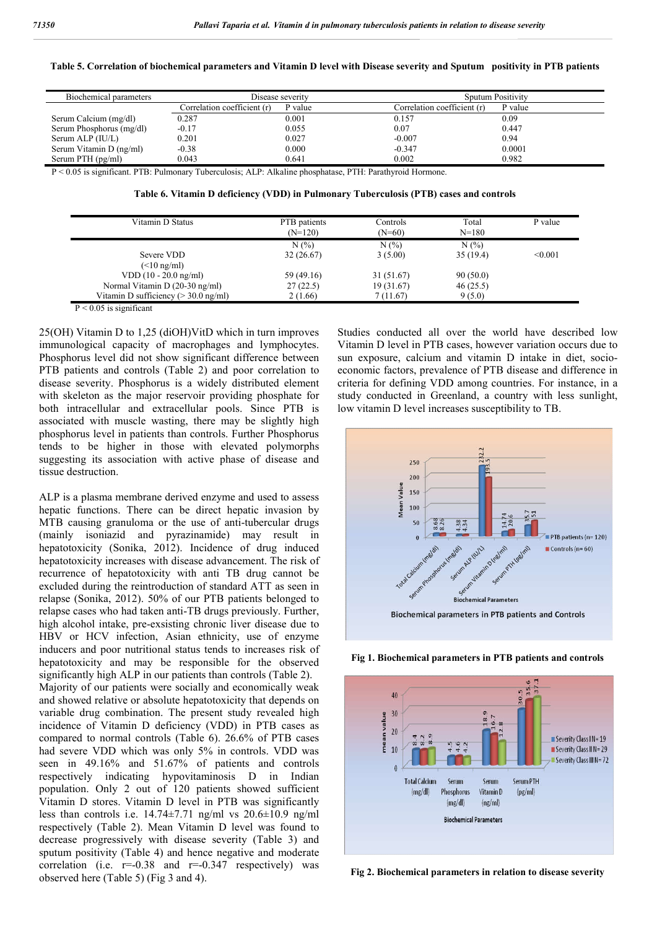| Biochemical parameters                                                                                         |                             | Disease severity | <b>Sputum Positivity</b>    |         |
|----------------------------------------------------------------------------------------------------------------|-----------------------------|------------------|-----------------------------|---------|
|                                                                                                                | Correlation coefficient (r) | ' value          | Correlation coefficient (r) | P value |
| Serum Calcium (mg/dl)                                                                                          | 0.287                       | 0.001            | 0.157                       | 0.09    |
| Serum Phosphorus (mg/dl)                                                                                       | $-0.17$                     | 0.055            | 0.07                        | 0.447   |
| Serum ALP (IU/L)                                                                                               | 0.201                       | 0.027            | $-0.007$                    | 0.94    |
| Serum Vitamin D (ng/ml)                                                                                        | $-0.38$                     | 0.000            | $-0.347$                    | 0.0001  |
| Serum PTH (pg/ml)                                                                                              | 0.043                       | 0.641            | 0.002                       | 0.982   |
| $D \ge 0.05$ is significant. DTD: Dulmonary Tuboraulosis: ALD: Alkolina phosphotosa. DTH: Derothyroid Hormona. |                             |                  |                             |         |

0.05 is significant. PTB: Pulmonary Tuberculosis; ALP: Alkaline phosphatase, PTH: Parathyroid Hormone

**Table 6. Vitamin D deficiency (VDD) in Pulmonary Tuberculosis (PTB) cases and controls**

| Vitamin D Status                              | PTB patients<br>$(N=120)$ | Controls<br>$(N=60)$ | Total<br>$N = 180$ | P value |
|-----------------------------------------------|---------------------------|----------------------|--------------------|---------|
|                                               | N(%                       | N(%)                 | N(%                |         |
| Severe VDD                                    | 32(26.67)                 | 3(5.00)              | 35(19.4)           | < 0.001 |
| $(\leq 10 \text{ ng/ml})$                     |                           |                      |                    |         |
| $VDD(10 - 20.0$ ng/ml)                        | 59 (49.16)                | 31 (51.67)           | 90(50.0)           |         |
| Normal Vitamin D (20-30 ng/ml)                | 27(22.5)                  | 19 (31.67)           | 46(25.5)           |         |
| Vitamin D sufficiency $(>30.0 \text{ ng/ml})$ | 2(1.66)                   | 7 (11.67)            | 9(5.0)             |         |

 $P < 0.05$  is significant

25(OH) Vitamin D to 1,25 (diOH)VitD which in turn improves immunological capacity of macrophages and lymphocytes. Phosphorus level did not show significant difference between PTB patients and controls (Table 2) and poor correlation to disease severity. Phosphorus is a widely distributed element with skeleton as the major reservoir providing phosphate for both intracellular and extracellular pools. Since PTB is associated with muscle wasting, there may be slightly high phosphorus level in patients than controls. Further Phosphorus tends to be higher in those with elevated polymorphs suggesting its association with active phase of disease and tissue destruction.

ALP is a plasma membrane derived enzyme and used to assess hepatic functions. There can be direct hepatic invasion by MTB causing granuloma or the use of anti-tubercular drugs (mainly isoniazid and pyrazinamide) may result in hepatotoxicity (Sonika, 2012). Incidence of drug induced hepatotoxicity increases with disease advancement. The risk of recurrence of hepatotoxicity with anti TB drug cannot be excluded during the reintroduction of standard ATT as seen in relapse (Sonika, 2012). 50% of our PTB patients belonged to relapse cases who had taken anti-TB drugs previously. Further, high alcohol intake, pre-exsisting chronic liver disease due to HBV or HCV infection, Asian ethnicity, use of enzyme inducers and poor nutritional status tends to increases risk of hepatotoxicity and may be responsible for the observed significantly high ALP in our patients than controls (Table 2). Majority of our patients were socially and economically weak and showed relative or absolute hepatotoxicity that depends on variable drug combination. The present study revealed high incidence of Vitamin D deficiency (VDD) in PTB cases as compared to normal controls (Table 6). 26.6% of PTB cases had severe VDD which was only 5% in controls. VDD was seen in 49.16% and 51.67% of patients and controls respectively indicating hypovitaminosis D in Indian population. Only 2 out of 120 patients showed sufficient Vitamin D stores. Vitamin D level in PTB was significantly less than controls i.e. 14.74±7.71 ng/ml vs 20.6±10.9 ng/ml respectively (Table 2). Mean Vitamin D level was found to decrease progressively with disease severity (Table 3) and sputum positivity (Table 4) and hence negative and moderate correlation (i.e.  $r=0.38$  and  $r=0.347$  respectively) was observed here (Table 5) (Fig 3 and 4).

Studies conducted all over the world have described low Vitamin D level in PTB cases, however variation occurs due to sun exposure, calcium and vitamin D intake in diet, socioeconomic factors, prevalence of PTB disease and difference in criteria for defining VDD among countries. For instance, in a study conducted in Greenland, a country with less sunlight, low vitamin D level increases susceptibility to TB.



**Fig 1. Biochemical parameters in PTB patients and controls**



**Fig 2. Biochemical parameters in relation to disease severity**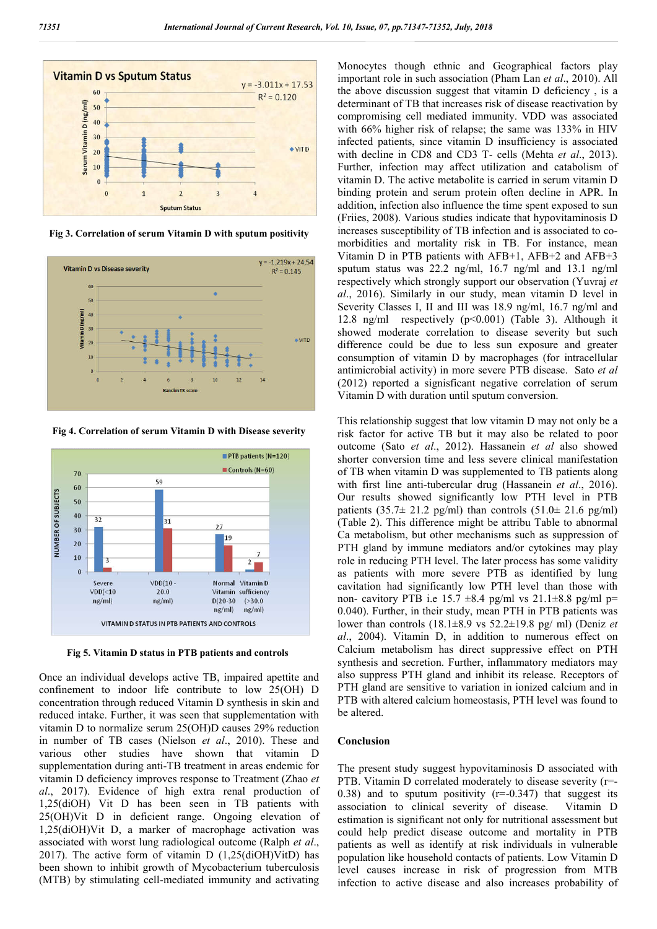

**Fig 3. Correlation of serum Vitamin D with sputum positivity**



**Fig 4. Correlation of serum Vitamin D with Disease severity**



**Fig 5. Vitamin D status in PTB patients and controls** 

Once an individual develops active TB, impaired apettite and confinement to indoor life contribute to low 25(OH) D concentration through reduced Vitamin D synthesis in skin and reduced intake. Further, it was seen that supplementation with vitamin D to normalize serum 25(OH)D causes 29% reduction in number of TB cases (Nielson *et al*., 2010). These and various other studies have shown that vitamin D supplementation during anti-TB treatment in areas endemic for vitamin D deficiency improves response to Treatment (Zhao *et al*., 2017). Evidence of high extra renal production of 1,25(diOH) Vit D has been seen in TB patients with 25(OH)Vit D in deficient range. Ongoing elevation of 1,25(diOH)Vit D, a marker of macrophage activation was associated with worst lung radiological outcome (Ralph *et al*., 2017). The active form of vitamin D (1,25(diOH)VitD) has been shown to inhibit growth of Mycobacterium tuberculosis (MTB) by stimulating cell-mediated immunity and activating

Monocytes though ethnic and Geographical factors play important role in such association (Pham Lan *et al*., 2010). All the above discussion suggest that vitamin D deficiency , is a determinant of TB that increases risk of disease reactivation by compromising cell mediated immunity. VDD was associated with 66% higher risk of relapse; the same was 133% in HIV infected patients, since vitamin D insufficiency is associated with decline in CD8 and CD3 T- cells (Mehta *et al*., 2013). Further, infection may affect utilization and catabolism of vitamin D. The active metabolite is carried in serum vitamin D binding protein and serum protein often decline in APR. In addition, infection also influence the time spent exposed to sun (Friies, 2008). Various studies indicate that hypovitaminosis D increases susceptibility of TB infection and is associated to comorbidities and mortality risk in TB. For instance, mean Vitamin D in PTB patients with AFB+1, AFB+2 and AFB+3 sputum status was 22.2 ng/ml, 16.7 ng/ml and 13.1 ng/ml respectively which strongly support our observation (Yuvraj *et al*., 2016). Similarly in our study, mean vitamin D level in Severity Classes I, II and III was 18.9 ng/ml, 16.7 ng/ml and 12.8 ng/ml respectively (p<0.001) (Table 3). Although it showed moderate correlation to disease severity but such difference could be due to less sun exposure and greater consumption of vitamin D by macrophages (for intracellular antimicrobial activity) in more severe PTB disease. Sato *et al* (2012) reported a signisficant negative correlation of serum Vitamin D with duration until sputum conversion.

This relationship suggest that low vitamin D may not only be a risk factor for active TB but it may also be related to poor outcome (Sato *et al*., 2012). Hassanein *et al* also showed shorter conversion time and less severe clinical manifestation of TB when vitamin D was supplemented to TB patients along with first line anti-tubercular drug (Hassanein *et al*., 2016). Our results showed significantly low PTH level in PTB patients  $(35.7\pm 21.2 \text{ pg/ml})$  than controls  $(51.0\pm 21.6 \text{ pg/ml})$ (Table 2). This difference might be attribu Table to abnormal Ca metabolism, but other mechanisms such as suppression of PTH gland by immune mediators and/or cytokines may play role in reducing PTH level. The later process has some validity as patients with more severe PTB as identified by lung cavitation had significantly low PTH level than those with non- cavitory PTB i.e  $15.7 \pm 8.4$  pg/ml vs  $21.1 \pm 8.8$  pg/ml p= 0.040). Further, in their study, mean PTH in PTB patients was lower than controls (18.1±8.9 vs 52.2±19.8 pg/ ml) (Deniz *et al*., 2004). Vitamin D, in addition to numerous effect on Calcium metabolism has direct suppressive effect on PTH synthesis and secretion. Further, inflammatory mediators may also suppress PTH gland and inhibit its release. Receptors of PTH gland are sensitive to variation in ionized calcium and in PTB with altered calcium homeostasis, PTH level was found to be altered.

## **Conclusion**

The present study suggest hypovitaminosis D associated with PTB. Vitamin D correlated moderately to disease severity (r=- 0.38) and to sputum positivity  $(r=-0.347)$  that suggest its association to clinical severity of disease. Vitamin D estimation is significant not only for nutritional assessment but could help predict disease outcome and mortality in PTB patients as well as identify at risk individuals in vulnerable population like household contacts of patients. Low Vitamin D level causes increase in risk of progression from MTB infection to active disease and also increases probability of